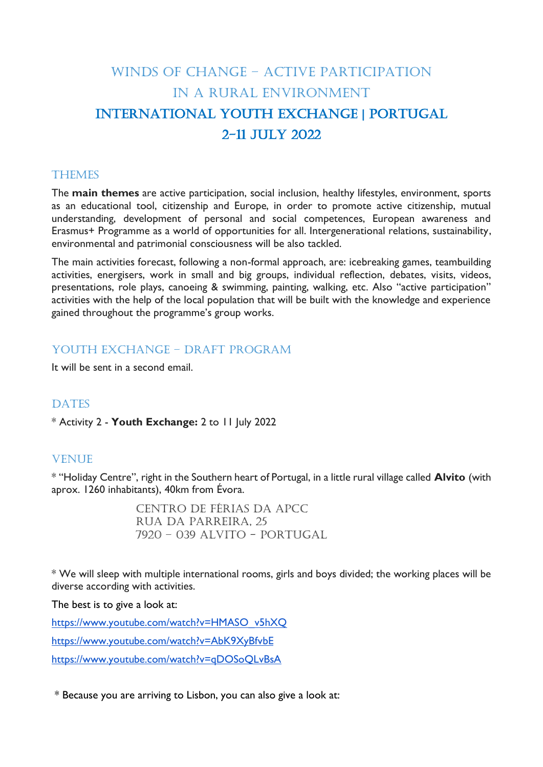# WINDS OF CHANGE – ACTIVE PARTICIPATION IN A RURAL ENVIRONMENT INTERNATIONAL YOUTH EXCHANGE | PORTUGAL 2-11 July 2022

#### **THEMES**

The **main themes** are active participation, social inclusion, healthy lifestyles, environment, sports as an educational tool, citizenship and Europe, in order to promote active citizenship, mutual understanding, development of personal and social competences, European awareness and Erasmus+ Programme as a world of opportunities for all. Intergenerational relations, sustainability, environmental and patrimonial consciousness will be also tackled.

The main activities forecast, following a non-formal approach, are: icebreaking games, teambuilding activities, energisers, work in small and big groups, individual reflection, debates, visits, videos, presentations, role plays, canoeing & swimming, painting, walking, etc. Also "active participation" activities with the help of the local population that will be built with the knowledge and experience gained throughout the programme's group works.

## YOUTH EXCHANGE - DRAFT PROGRAM

It will be sent in a second email.

#### **DATES**

\* Activity 2 - **Youth Exchange:** 2 to 11 July 2022

#### **VENUE**

\* "Holiday Centre", right in the Southern heart of Portugal, in a little rural village called **Alvito** (with aprox. 1260 inhabitants), 40km from Évora.

> Centro de Férias da APCC Rua da Parreira, 25 7920 – 039 Alvito - Portugal

\* We will sleep with multiple international rooms, girls and boys divided; the working places will be diverse according with activities.

The best is to give a look at:

[https://www.youtube.com/watch?v=HMASO\\_v5hXQ](https://www.youtube.com/watch?v=HMASO_v5hXQ) <https://www.youtube.com/watch?v=AbK9XyBfvbE> <https://www.youtube.com/watch?v=qDOSoQLvBsA>

\* Because you are arriving to Lisbon, you can also give a look at: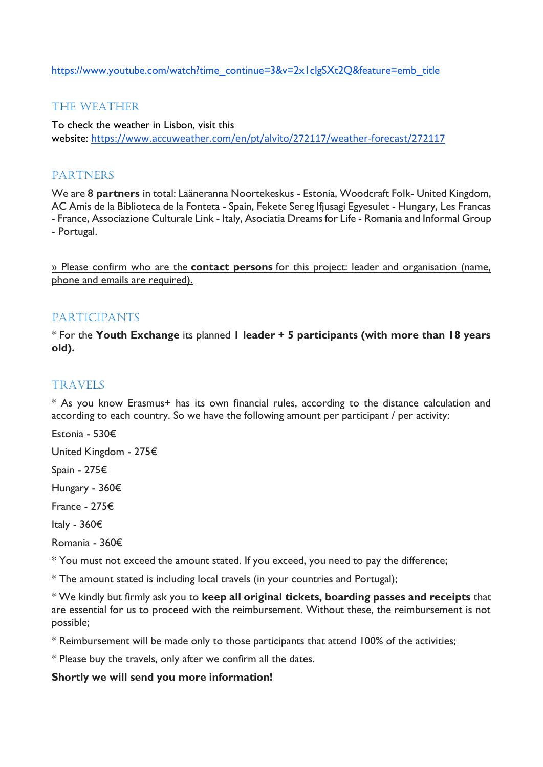[https://www.youtube.com/watch?time\\_continue=3&v=2x1clgSXt2Q&feature=emb\\_title](https://www.youtube.com/watch?time_continue=3&v=2x1clgSXt2Q&feature=emb_title)

## THE WEATHER

To check the weather in Lisbon, visit this website: <https://www.accuweather.com/en/pt/alvito/272117/weather-forecast/272117>

## PARTNERS

We are 8 **partners** in total: Lääneranna Noortekeskus - Estonia, Woodcraft Folk- United Kingdom, AC Amis de la Biblioteca de la Fonteta - Spain, Fekete Sereg Ifjusagi Egyesulet - Hungary, Les Francas - France, Associazione Culturale Link - Italy, Asociatia Dreams for Life - Romania and Informal Group - Portugal.

» Please confirm who are the **contact persons** for this project: leader and organisation (name, phone and emails are required).

### **PARTICIPANTS**

\* For the **Youth Exchange** its planned **1 leader + 5 participants (with more than 18 years old).**

## **TRAVELS**

\* As you know Erasmus+ has its own financial rules, according to the distance calculation and according to each country. So we have the following amount per participant / per activity:

Estonia - 530€

United Kingdom - 275€

Spain - 275€

Hungary - 360€

France - 275€

Italy - 360€

Romania - 360€

\* You must not exceed the amount stated. If you exceed, you need to pay the difference;

\* The amount stated is including local travels (in your countries and Portugal);

\* We kindly but firmly ask you to **keep all original tickets, boarding passes and receipts** that are essential for us to proceed with the reimbursement. Without these, the reimbursement is not possible;

\* Reimbursement will be made only to those participants that attend 100% of the activities;

\* Please buy the travels, only after we confirm all the dates.

#### **Shortly we will send you more information!**